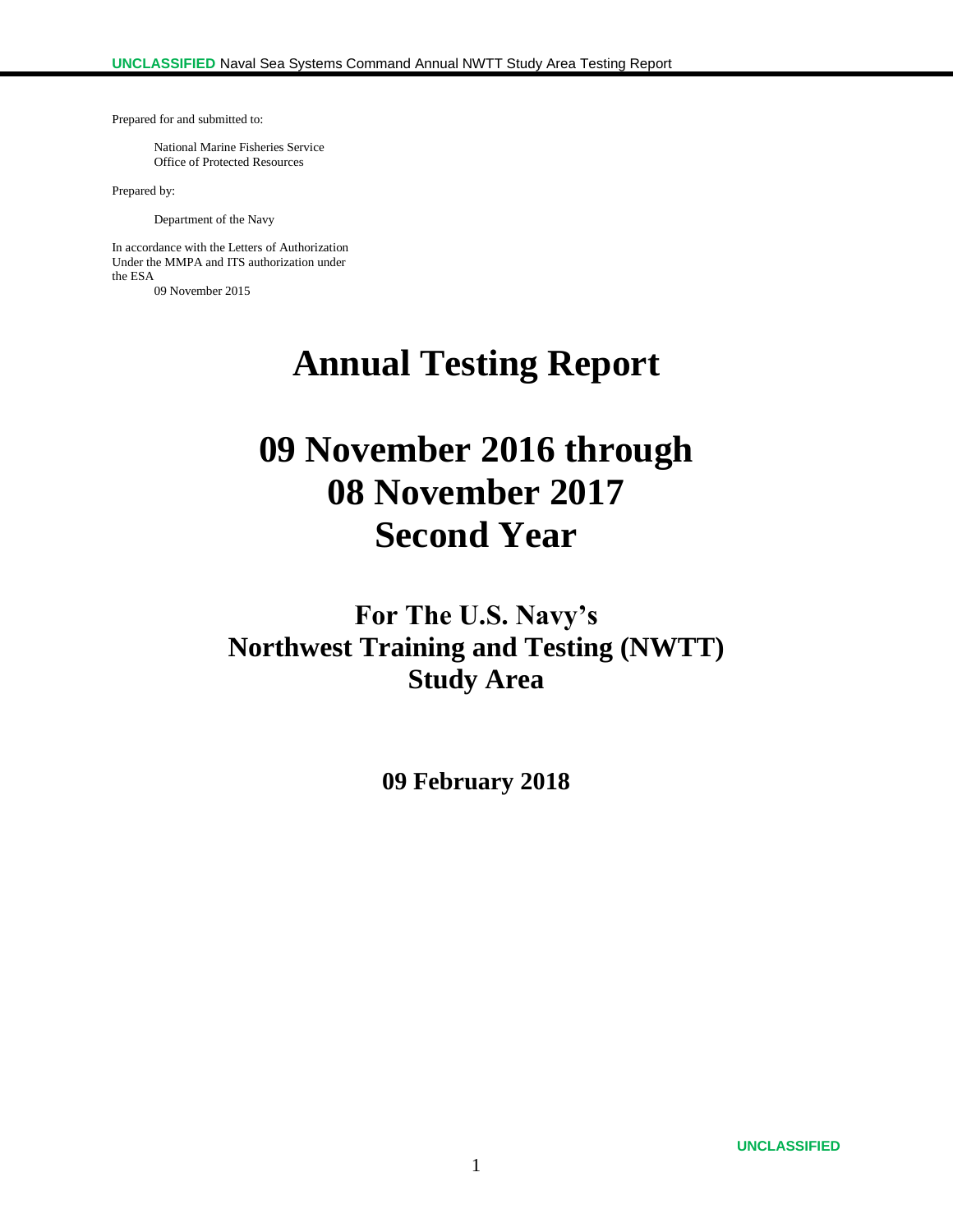Prepared for and submitted to:

National Marine Fisheries Service Office of Protected Resources

Prepared by:

Department of the Navy

In accordance with the Letters of Authorization Under the MMPA and ITS authorization under the ESA 09 November 2015

**Annual Testing Report**

# **09 November 2016 through 08 November 2017 Second Year**

**For The U.S. Navy's Northwest Training and Testing (NWTT) Study Area**

**09 February 2018**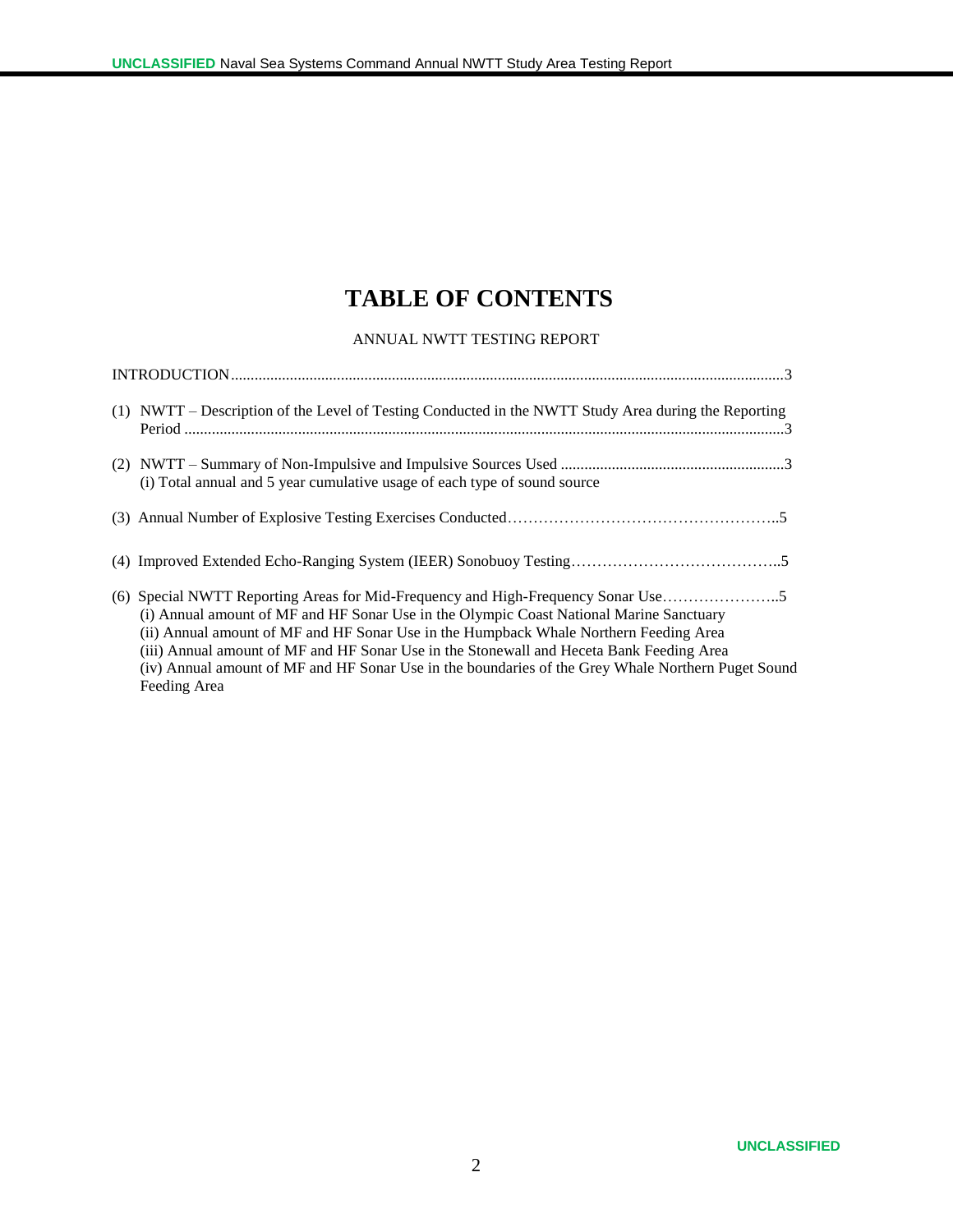# **TABLE OF CONTENTS**

#### ANNUAL NWTT TESTING REPORT

| (1) NWTT – Description of the Level of Testing Conducted in the NWTT Study Area during the Reporting                                                                                                                                                                                                                                                                                               |
|----------------------------------------------------------------------------------------------------------------------------------------------------------------------------------------------------------------------------------------------------------------------------------------------------------------------------------------------------------------------------------------------------|
| (i) Total annual and 5 year cumulative usage of each type of sound source                                                                                                                                                                                                                                                                                                                          |
|                                                                                                                                                                                                                                                                                                                                                                                                    |
|                                                                                                                                                                                                                                                                                                                                                                                                    |
| (i) Annual amount of MF and HF Sonar Use in the Olympic Coast National Marine Sanctuary<br>(ii) Annual amount of MF and HF Sonar Use in the Humpback Whale Northern Feeding Area<br>(iii) Annual amount of MF and HF Sonar Use in the Stonewall and Heceta Bank Feeding Area<br>(iv) Annual amount of MF and HF Sonar Use in the boundaries of the Grey Whale Northern Puget Sound<br>Feeding Area |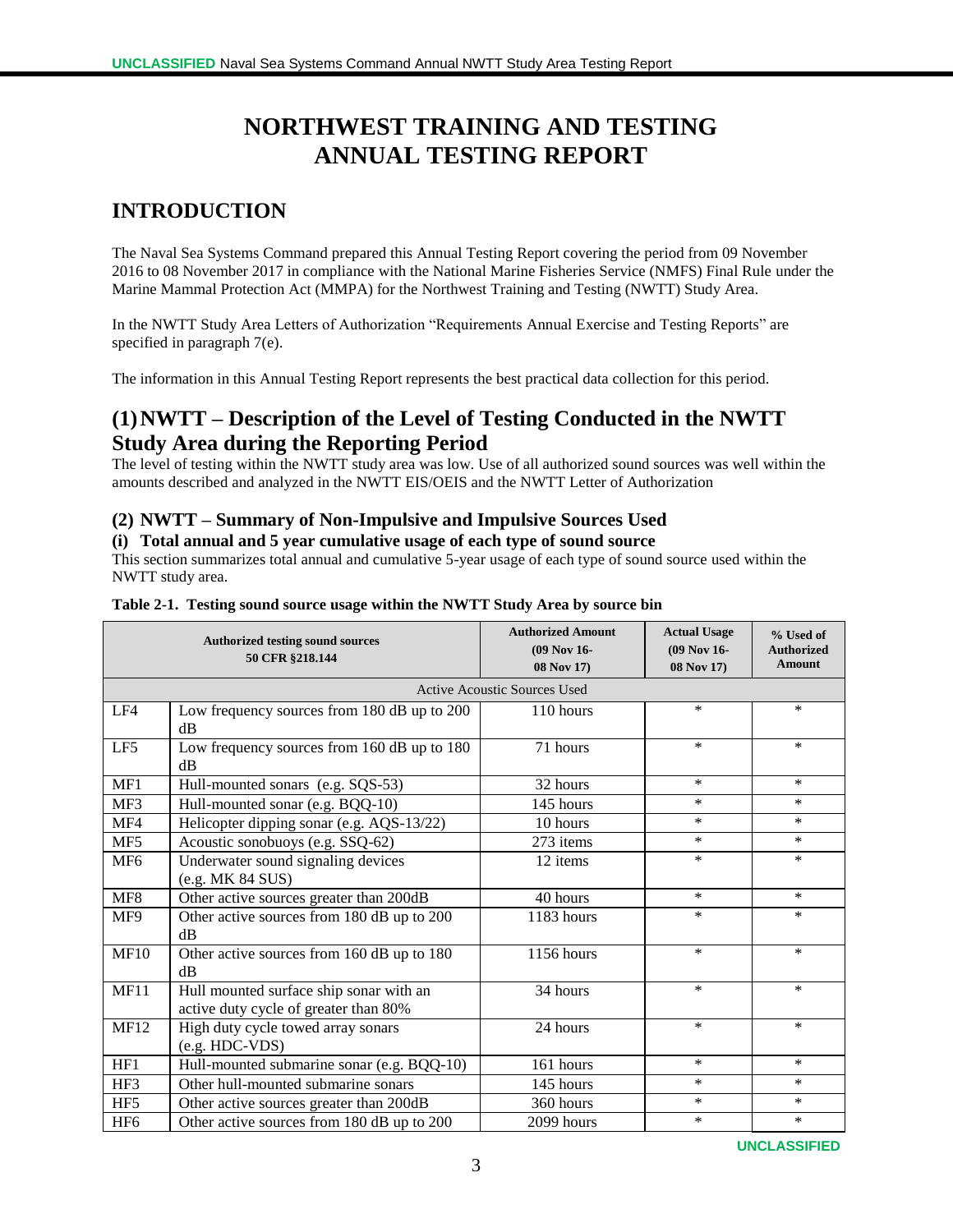# **NORTHWEST TRAINING AND TESTING ANNUAL TESTING REPORT**

# **INTRODUCTION**

The Naval Sea Systems Command prepared this Annual Testing Report covering the period from 09 November 2016 to 08 November 2017 in compliance with the National Marine Fisheries Service (NMFS) Final Rule under the Marine Mammal Protection Act (MMPA) for the Northwest Training and Testing (NWTT) Study Area.

In the NWTT Study Area Letters of Authorization "Requirements Annual Exercise and Testing Reports" are specified in paragraph 7(e).

The information in this Annual Testing Report represents the best practical data collection for this period.

## **(1)NWTT – Description of the Level of Testing Conducted in the NWTT Study Area during the Reporting Period**

The level of testing within the NWTT study area was low. Use of all authorized sound sources was well within the amounts described and analyzed in the NWTT EIS/OEIS and the NWTT Letter of Authorization

#### **(2) NWTT – Summary of Non-Impulsive and Impulsive Sources Used**

#### **(i) Total annual and 5 year cumulative usage of each type of sound source**

This section summarizes total annual and cumulative 5-year usage of each type of sound source used within the NWTT study area.

|                 | <b>Authorized testing sound sources</b><br>50 CFR §218.144                       | <b>Authorized Amount</b><br>(09 Nov 16-<br>08 Nov 17) | <b>Actual Usage</b><br>(09 Nov 16-<br>08 Nov 17) | % Used of<br><b>Authorized</b><br><b>Amount</b> |
|-----------------|----------------------------------------------------------------------------------|-------------------------------------------------------|--------------------------------------------------|-------------------------------------------------|
|                 |                                                                                  | <b>Active Acoustic Sources Used</b>                   |                                                  |                                                 |
| LF4             | Low frequency sources from 180 dB up to 200<br>$\rm dB$                          | 110 hours                                             | $\ast$                                           | $\ast$                                          |
| LF5             | Low frequency sources from 160 dB up to 180<br>dB                                | 71 hours                                              | $\ast$                                           | $\ast$                                          |
| MF1             | Hull-mounted sonars (e.g. SQS-53)                                                | 32 hours                                              | $*$                                              | $\ast$                                          |
| MF3             | Hull-mounted sonar (e.g. BQQ-10)                                                 | 145 hours                                             | $\ast$                                           | $\ast$                                          |
| MF4             | Helicopter dipping sonar (e.g. AQS-13/22)                                        | 10 hours                                              | $\ast$                                           | $*$                                             |
| MF5             | Acoustic sonobuoys (e.g. SSQ-62)                                                 | 273 items                                             | $\ast$                                           | $\ast$                                          |
| MF <sub>6</sub> | Underwater sound signaling devices<br>(e.g. MK 84 SUS)                           | 12 items                                              | $\ast$                                           | $*$                                             |
| MF8             | Other active sources greater than 200dB                                          | 40 hours                                              | $*$                                              | $*$                                             |
| MF9             | Other active sources from 180 dB up to 200<br>dB                                 | 1183 hours                                            | $\ast$                                           | $\ast$                                          |
| <b>MF10</b>     | Other active sources from 160 dB up to 180<br>dB                                 | 1156 hours                                            | $\ast$                                           | $\ast$                                          |
| MF11            | Hull mounted surface ship sonar with an<br>active duty cycle of greater than 80% | 34 hours                                              | $\ast$                                           | $\ast$                                          |
| <b>MF12</b>     | High duty cycle towed array sonars<br>(e.g. HDC-VDS)                             | 24 hours                                              | $\ast$                                           | $\ast$                                          |
| HF1             | Hull-mounted submarine sonar (e.g. BQQ-10)                                       | 161 hours                                             | $\ast$                                           | $\ast$                                          |
| HF3             | Other hull-mounted submarine sonars                                              | 145 hours                                             | $\ast$                                           | $\ast$                                          |
| HF <sub>5</sub> | Other active sources greater than 200dB                                          | 360 hours                                             | $\ast$                                           | $\ast$                                          |
| HF <sub>6</sub> | Other active sources from 180 dB up to 200                                       | 2099 hours                                            | $\ast$                                           | $\ast$                                          |

#### **Table 2-1. Testing sound source usage within the NWTT Study Area by source bin**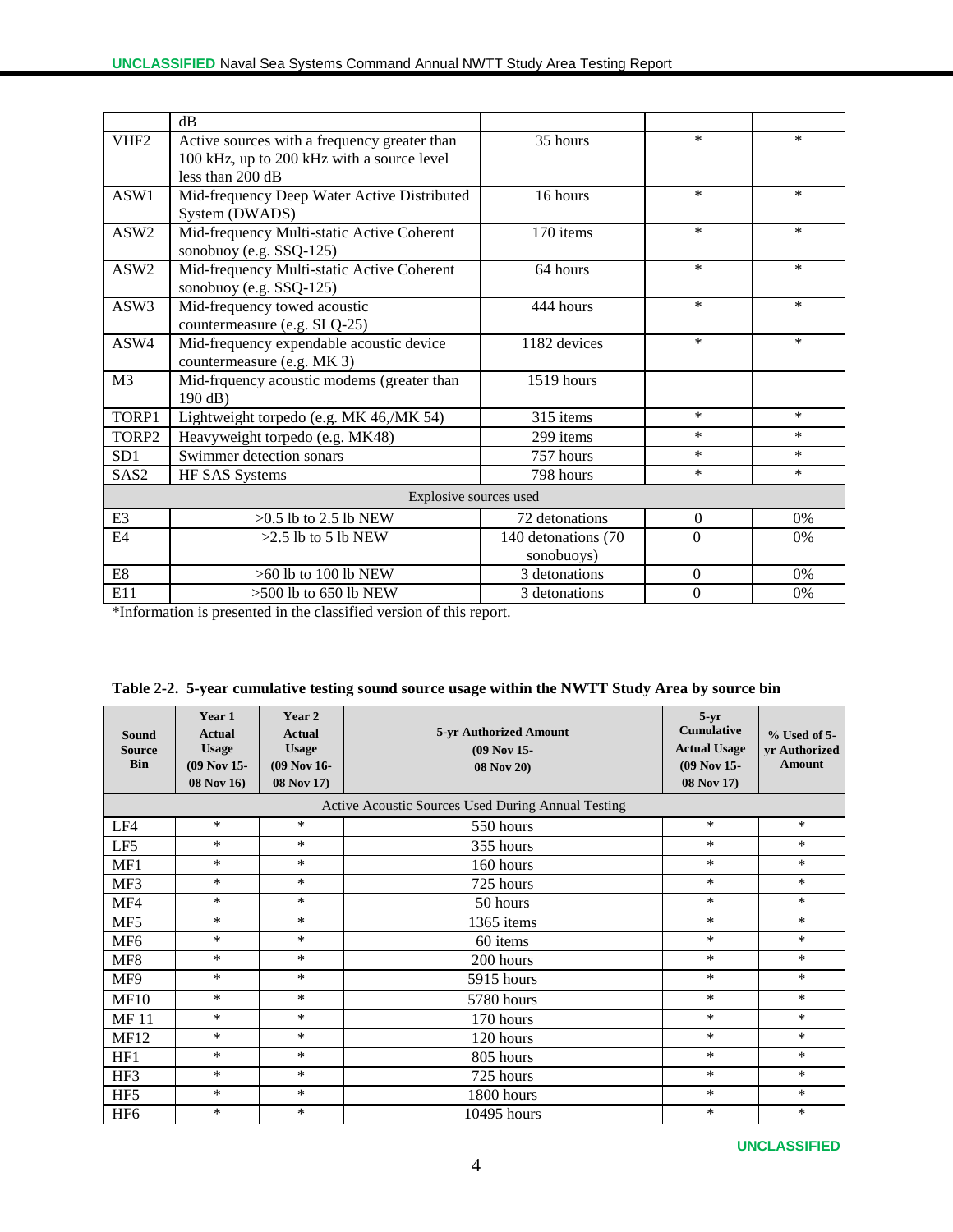|                  | dB                                                                                                               |                                   |                  |        |
|------------------|------------------------------------------------------------------------------------------------------------------|-----------------------------------|------------------|--------|
| VHF <sub>2</sub> | Active sources with a frequency greater than<br>100 kHz, up to 200 kHz with a source level<br>less than $200$ dB | 35 hours                          | $\ast$           | *      |
| ASW1             | Mid-frequency Deep Water Active Distributed<br>System (DWADS)                                                    | 16 hours                          | $\ast$           | *      |
| ASW <sub>2</sub> | Mid-frequency Multi-static Active Coherent<br>sonobuoy (e.g. SSQ-125)                                            | 170 items                         | $\ast$           | $\ast$ |
| ASW <sub>2</sub> | Mid-frequency Multi-static Active Coherent<br>sonobuoy (e.g. SSQ-125)                                            | 64 hours                          | $\ast$           | $\ast$ |
| ASW3             | Mid-frequency towed acoustic<br>countermeasure (e.g. SLQ-25)                                                     | 444 hours                         | $\ast$           | *      |
| ASW4             | Mid-frequency expendable acoustic device<br>countermeasure (e.g. MK 3)                                           | 1182 devices                      | *                | *      |
| M <sub>3</sub>   | Mid-frquency acoustic modems (greater than<br>190 dB)                                                            | 1519 hours                        |                  |        |
| TORP1            | Lightweight torpedo (e.g. MK 46,/MK 54)                                                                          | 315 items                         | $\ast$           | $\ast$ |
| TORP2            | Heavyweight torpedo (e.g. MK48)                                                                                  | 299 items                         | *                | *      |
| SD <sub>1</sub>  | Swimmer detection sonars                                                                                         | 757 hours                         | *                | *      |
| SAS <sub>2</sub> | HF SAS Systems                                                                                                   | 798 hours                         | *                | $\ast$ |
|                  | Explosive sources used                                                                                           |                                   |                  |        |
| E <sub>3</sub>   | $>0.5$ lb to 2.5 lb NEW                                                                                          | 72 detonations                    | $\Omega$         | $0\%$  |
| E4               | $>2.5$ lb to 5 lb NEW                                                                                            | 140 detonations (70<br>sonobuoys) | $\theta$         | $0\%$  |
| E8               | $>60$ lb to 100 lb NEW                                                                                           | 3 detonations                     | $\overline{0}$   | 0%     |
| E11              | $>500$ lb to 650 lb NEW                                                                                          | 3 detonations                     | $\boldsymbol{0}$ | 0%     |

\*Information is presented in the classified version of this report.

| <b>Sound</b><br><b>Source</b><br><b>Bin</b> | Year 1<br><b>Actual</b><br><b>Usage</b><br>$(09$ Nov 15-<br>08 Nov 16) | Year 2<br><b>Actual</b><br><b>Usage</b><br>$(09$ Nov 16-<br>08 Nov 17) | 5-yr Authorized Amount<br>$(09$ Nov 15-<br><b>08 Nov 20)</b> | $5-yr$<br><b>Cumulative</b><br><b>Actual Usage</b><br>$(09$ Nov 15-<br>08 Nov 17) | $%$ Used of 5-<br>yr Authorized<br><b>Amount</b> |
|---------------------------------------------|------------------------------------------------------------------------|------------------------------------------------------------------------|--------------------------------------------------------------|-----------------------------------------------------------------------------------|--------------------------------------------------|
|                                             |                                                                        |                                                                        | Active Acoustic Sources Used During Annual Testing           |                                                                                   |                                                  |
| LF4                                         | $\ast$                                                                 | $\ast$                                                                 | 550 hours                                                    | $\ast$                                                                            | $\ast$                                           |
| LF5                                         | $\ast$                                                                 | $\ast$                                                                 | 355 hours                                                    | $\ast$                                                                            | *                                                |
| MF1                                         | $\ast$                                                                 | $\ast$                                                                 | 160 hours                                                    | *                                                                                 | *                                                |
| MF3                                         | *                                                                      | $\ast$                                                                 | 725 hours                                                    | $\ast$                                                                            | *                                                |
| MF4                                         | $\ast$                                                                 | $\ast$                                                                 | 50 hours                                                     | $\ast$                                                                            | $\ast$                                           |
| MF5                                         | *                                                                      | $\ast$                                                                 | 1365 items                                                   | $\ast$                                                                            | *                                                |
| MF <sub>6</sub>                             | *                                                                      | $\ast$                                                                 | 60 items                                                     | $\ast$                                                                            | *                                                |
| MF8                                         | *                                                                      | $\ast$                                                                 | 200 hours                                                    | $\ast$                                                                            | *                                                |
| MF9                                         | $\ast$                                                                 | $\ast$                                                                 | 5915 hours                                                   | $\ast$                                                                            | *                                                |
| <b>MF10</b>                                 | $\ast$                                                                 | $\ast$                                                                 | 5780 hours                                                   | $\ast$                                                                            | *                                                |
| <b>MF11</b>                                 | $\ast$                                                                 | $\ast$                                                                 | 170 hours                                                    | $\ast$                                                                            | $\ast$                                           |
| <b>MF12</b>                                 | *                                                                      | $\ast$                                                                 | 120 hours                                                    | *                                                                                 | *                                                |
| HF1                                         | *                                                                      | $\ast$                                                                 | 805 hours                                                    | *                                                                                 | *                                                |
| HF3                                         | *                                                                      | $\ast$                                                                 | 725 hours                                                    | $\ast$                                                                            | *                                                |
| HF <sub>5</sub>                             | $\ast$                                                                 | $\ast$                                                                 | 1800 hours                                                   | $\ast$                                                                            | $\ast$                                           |
| HF <sub>6</sub>                             | *                                                                      | $\ast$                                                                 | 10495 hours                                                  | $\ast$                                                                            | *                                                |

|  |  |  | Table 2-2. 5-year cumulative testing sound source usage within the NWTT Study Area by source bin |
|--|--|--|--------------------------------------------------------------------------------------------------|
|--|--|--|--------------------------------------------------------------------------------------------------|